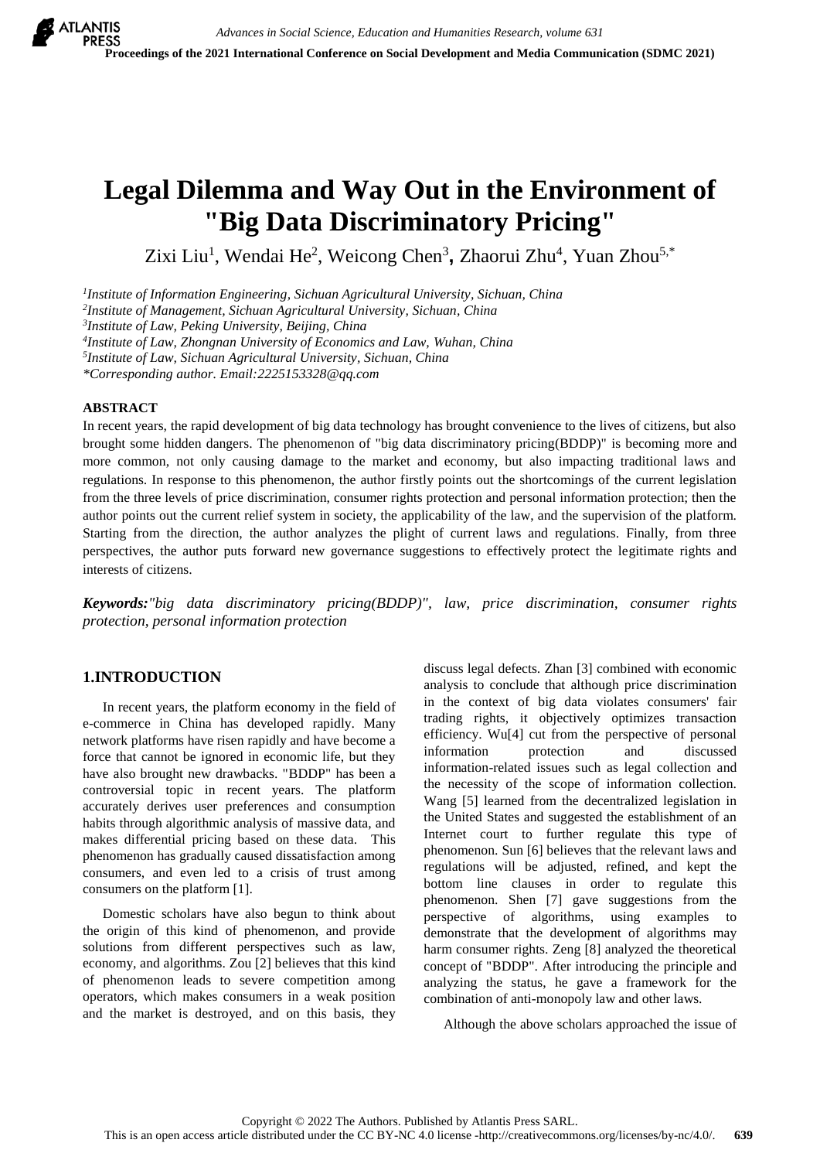# **Legal Dilemma and Way Out in the Environment of "Big Data Discriminatory Pricing"**

Zixi Liu<sup>1</sup>, Wendai He<sup>2</sup>, Weicong Chen<sup>3</sup>, Zhaorui Zhu<sup>4</sup>, Yuan Zhou<sup>5,\*</sup>

*1 Institute of Information Engineering, Sichuan Agricultural University, Sichuan, China*

*2 Institute of Management, Sichuan Agricultural University, Sichuan, China*

*3 Institute of Law, Peking University, Beijing, China*

*4 Institute of Law, Zhongnan University of Economics and Law, Wuhan, China*

*5 Institute of Law, Sichuan Agricultural University, Sichuan, China*

*\*Corresponding author. Email:2225153328@qq.com*

#### **ABSTRACT**

In recent years, the rapid development of big data technology has brought convenience to the lives of citizens, but also brought some hidden dangers. The phenomenon of "big data discriminatory pricing(BDDP)" is becoming more and more common, not only causing damage to the market and economy, but also impacting traditional laws and regulations. In response to this phenomenon, the author firstly points out the shortcomings of the current legislation from the three levels of price discrimination, consumer rights protection and personal information protection; then the author points out the current relief system in society, the applicability of the law, and the supervision of the platform. Starting from the direction, the author analyzes the plight of current laws and regulations. Finally, from three perspectives, the author puts forward new governance suggestions to effectively protect the legitimate rights and interests of citizens.

*Keywords:"big data discriminatory pricing(BDDP)", law, price discrimination, consumer rights protection, personal information protection*

## **1.INTRODUCTION**

In recent years, the platform economy in the field of e-commerce in China has developed rapidly. Many network platforms have risen rapidly and have become a force that cannot be ignored in economic life, but they have also brought new drawbacks. "BDDP" has been a controversial topic in recent years. The platform accurately derives user preferences and consumption habits through algorithmic analysis of massive data, and makes differential pricing based on these data. This phenomenon has gradually caused dissatisfaction among consumers, and even led to a crisis of trust among consumers on the platform [1].

Domestic scholars have also begun to think about the origin of this kind of phenomenon, and provide solutions from different perspectives such as law, economy, and algorithms. Zou [2] believes that this kind of phenomenon leads to severe competition among operators, which makes consumers in a weak position and the market is destroyed, and on this basis, they discuss legal defects. Zhan [3] combined with economic analysis to conclude that although price discrimination in the context of big data violates consumers' fair trading rights, it objectively optimizes transaction efficiency. Wu[4] cut from the perspective of personal information protection and discussed information-related issues such as legal collection and the necessity of the scope of information collection. Wang [5] learned from the decentralized legislation in the United States and suggested the establishment of an Internet court to further regulate this type of phenomenon. Sun [6] believes that the relevant laws and regulations will be adjusted, refined, and kept the bottom line clauses in order to regulate this phenomenon. Shen [7] gave suggestions from the perspective of algorithms, using examples to demonstrate that the development of algorithms may harm consumer rights. Zeng [8] analyzed the theoretical concept of "BDDP". After introducing the principle and analyzing the status, he gave a framework for the combination of anti-monopoly law and other laws.

Although the above scholars approached the issue of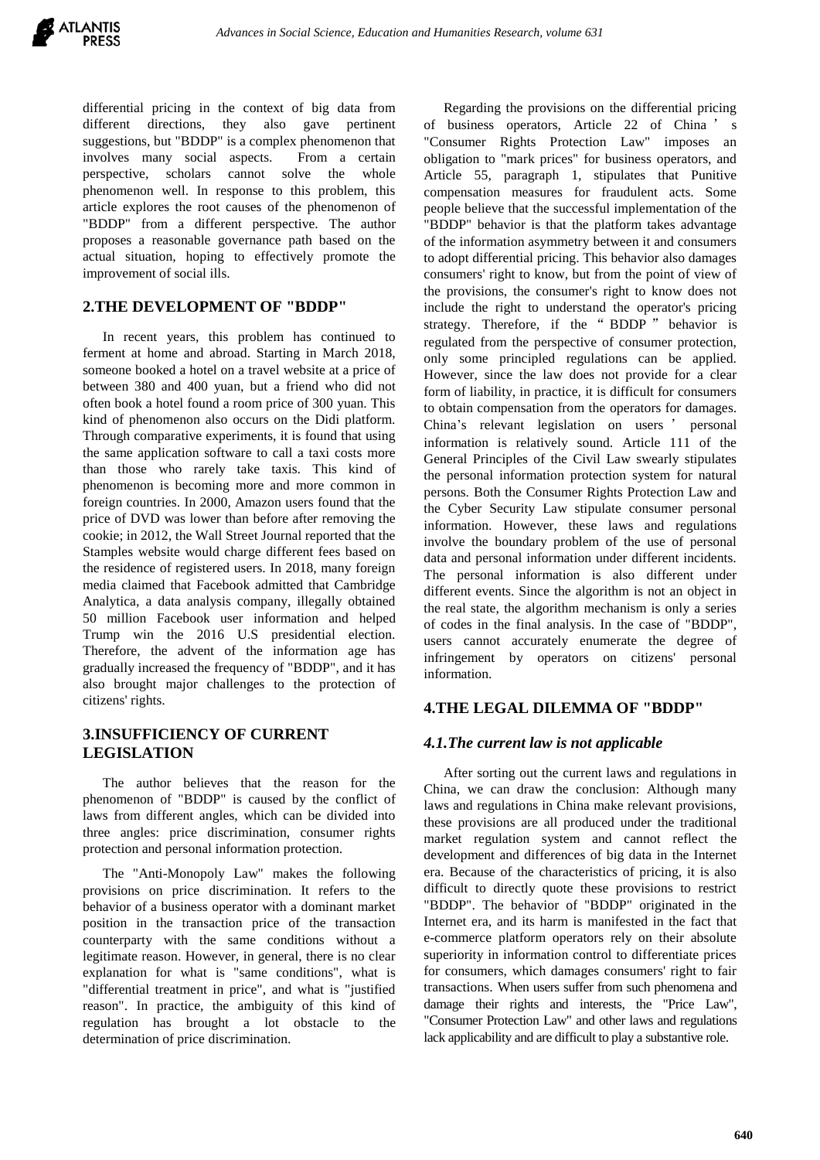differential pricing in the context of big data from different directions, they also gave pertinent suggestions, but "BDDP" is a complex phenomenon that involves many social aspects. From a certain perspective, scholars cannot solve the whole phenomenon well. In response to this problem, this article explores the root causes of the phenomenon of "BDDP" from a different perspective. The author proposes a reasonable governance path based on the actual situation, hoping to effectively promote the improvement of social ills.

# **2.THE DEVELOPMENT OF "BDDP"**

In recent years, this problem has continued to ferment at home and abroad. Starting in March 2018, someone booked a hotel on a travel website at a price of between 380 and 400 yuan, but a friend who did not often book a hotel found a room price of 300 yuan. This kind of phenomenon also occurs on the Didi platform. Through comparative experiments, it is found that using the same application software to call a taxi costs more than those who rarely take taxis. This kind of phenomenon is becoming more and more common in foreign countries. In 2000, Amazon users found that the price of DVD was lower than before after removing the cookie; in 2012, the Wall Street Journal reported that the Stamples website would charge different fees based on the residence of registered users. In 2018, many foreign media claimed that Facebook admitted that Cambridge Analytica, a data analysis company, illegally obtained 50 million Facebook user information and helped Trump win the 2016 U.S presidential election. Therefore, the advent of the information age has gradually increased the frequency of "BDDP", and it has also brought major challenges to the protection of citizens' rights.

# **3.INSUFFICIENCY OF CURRENT LEGISLATION**

The author believes that the reason for the phenomenon of "BDDP" is caused by the conflict of laws from different angles, which can be divided into three angles: price discrimination, consumer rights protection and personal information protection.

The "Anti-Monopoly Law" makes the following provisions on price discrimination. It refers to the behavior of a business operator with a dominant market position in the transaction price of the transaction counterparty with the same conditions without a legitimate reason. However, in general, there is no clear explanation for what is "same conditions", what is "differential treatment in price", and what is "justified reason". In practice, the ambiguity of this kind of regulation has brought a lot obstacle to the determination of price discrimination.

Regarding the provisions on the differential pricing of business operators, Article 22 of China ' s "Consumer Rights Protection Law" imposes an obligation to "mark prices" for business operators, and Article 55, paragraph 1, stipulates that Punitive compensation measures for fraudulent acts. Some people believe that the successful implementation of the "BDDP" behavior is that the platform takes advantage of the information asymmetry between it and consumers to adopt differential pricing. This behavior also damages consumers' right to know, but from the point of view of the provisions, the consumer's right to know does not include the right to understand the operator's pricing strategy. Therefore, if the " BDDP " behavior is regulated from the perspective of consumer protection, only some principled regulations can be applied. However, since the law does not provide for a clear form of liability, in practice, it is difficult for consumers to obtain compensation from the operators for damages. China's relevant legislation on users ' personal information is relatively sound. Article 111 of the General Principles of the Civil Law swearly stipulates the personal information protection system for natural persons. Both the Consumer Rights Protection Law and the Cyber Security Law stipulate consumer personal information. However, these laws and regulations involve the boundary problem of the use of personal data and personal information under different incidents. The personal information is also different under different events. Since the algorithm is not an object in the real state, the algorithm mechanism is only a series of codes in the final analysis. In the case of "BDDP", users cannot accurately enumerate the degree of infringement by operators on citizens' personal information.

# **4.THE LEGAL DILEMMA OF "BDDP"**

# *4.1.The current law is not applicable*

After sorting out the current laws and regulations in China, we can draw the conclusion: Although many laws and regulations in China make relevant provisions, these provisions are all produced under the traditional market regulation system and cannot reflect the development and differences of big data in the Internet era. Because of the characteristics of pricing, it is also difficult to directly quote these provisions to restrict "BDDP". The behavior of "BDDP" originated in the Internet era, and its harm is manifested in the fact that e-commerce platform operators rely on their absolute superiority in information control to differentiate prices for consumers, which damages consumers' right to fair transactions. When users suffer from such phenomena and damage their rights and interests, the "Price Law", "Consumer Protection Law" and other laws and regulations lack applicability and are difficult to play a substantive role.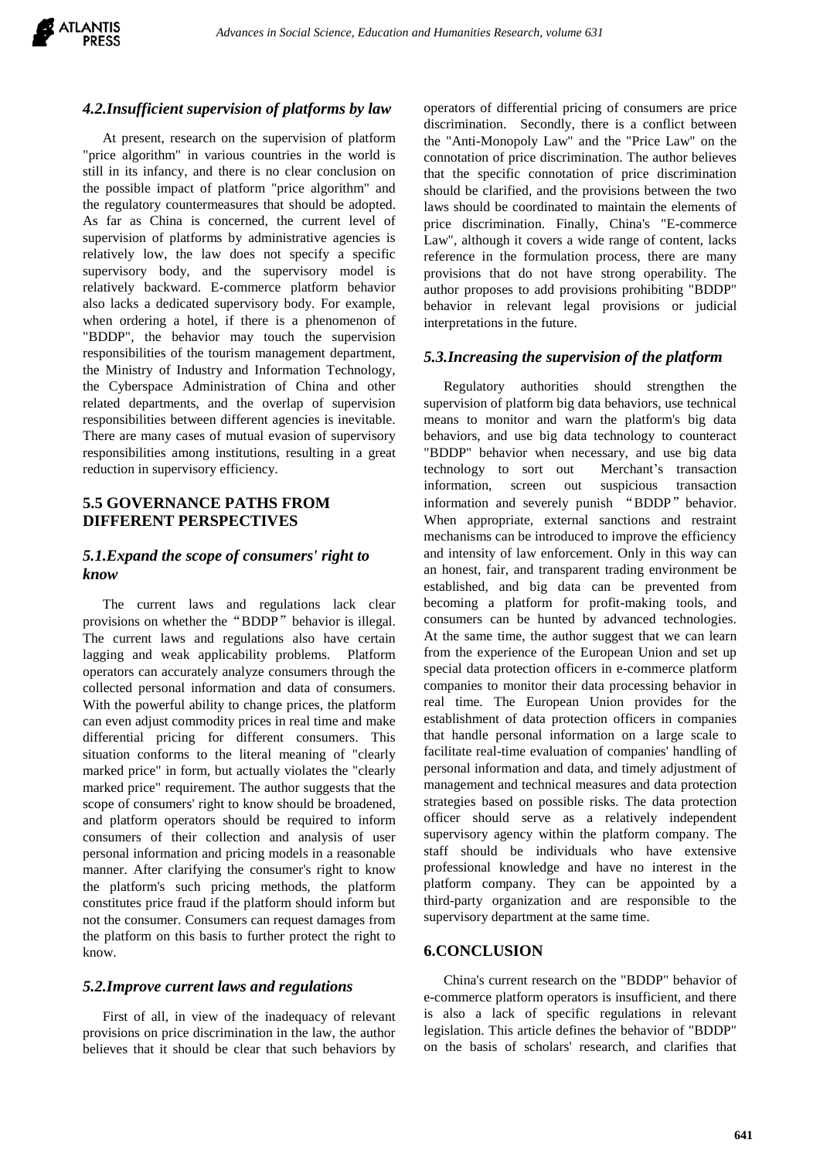## *4.2.Insufficient supervision of platforms by law*

At present, research on the supervision of platform "price algorithm" in various countries in the world is still in its infancy, and there is no clear conclusion on the possible impact of platform "price algorithm" and the regulatory countermeasures that should be adopted. As far as China is concerned, the current level of supervision of platforms by administrative agencies is relatively low, the law does not specify a specific supervisory body, and the supervisory model is relatively backward. E-commerce platform behavior also lacks a dedicated supervisory body. For example, when ordering a hotel, if there is a phenomenon of "BDDP", the behavior may touch the supervision responsibilities of the tourism management department, the Ministry of Industry and Information Technology, the Cyberspace Administration of China and other related departments, and the overlap of supervision responsibilities between different agencies is inevitable. There are many cases of mutual evasion of supervisory responsibilities among institutions, resulting in a great reduction in supervisory efficiency.

# **5.5 GOVERNANCE PATHS FROM DIFFERENT PERSPECTIVES**

## *5.1.Expand the scope of consumers' right to know*

The current laws and regulations lack clear provisions on whether the "BDDP" behavior is illegal. The current laws and regulations also have certain lagging and weak applicability problems. Platform operators can accurately analyze consumers through the collected personal information and data of consumers. With the powerful ability to change prices, the platform can even adjust commodity prices in real time and make differential pricing for different consumers. This situation conforms to the literal meaning of "clearly marked price" in form, but actually violates the "clearly marked price" requirement. The author suggests that the scope of consumers' right to know should be broadened, and platform operators should be required to inform consumers of their collection and analysis of user personal information and pricing models in a reasonable manner. After clarifying the consumer's right to know the platform's such pricing methods, the platform constitutes price fraud if the platform should inform but not the consumer. Consumers can request damages from the platform on this basis to further protect the right to know.

#### *5.2.Improve current laws and regulations*

First of all, in view of the inadequacy of relevant provisions on price discrimination in the law, the author believes that it should be clear that such behaviors by

operators of differential pricing of consumers are price discrimination. Secondly, there is a conflict between the "Anti-Monopoly Law" and the "Price Law" on the connotation of price discrimination. The author believes that the specific connotation of price discrimination should be clarified, and the provisions between the two laws should be coordinated to maintain the elements of price discrimination. Finally, China's "E-commerce Law", although it covers a wide range of content, lacks reference in the formulation process, there are many provisions that do not have strong operability. The author proposes to add provisions prohibiting "BDDP" behavior in relevant legal provisions or judicial interpretations in the future.

#### *5.3.Increasing the supervision of the platform*

Regulatory authorities should strengthen the supervision of platform big data behaviors, use technical means to monitor and warn the platform's big data behaviors, and use big data technology to counteract "BDDP" behavior when necessary, and use big data technology to sort out Merchant's transaction information, screen out suspicious transaction information and severely punish "BDDP" behavior. When appropriate, external sanctions and restraint mechanisms can be introduced to improve the efficiency and intensity of law enforcement. Only in this way can an honest, fair, and transparent trading environment be established, and big data can be prevented from becoming a platform for profit-making tools, and consumers can be hunted by advanced technologies. At the same time, the author suggest that we can learn from the experience of the European Union and set up special data protection officers in e-commerce platform companies to monitor their data processing behavior in real time. The European Union provides for the establishment of data protection officers in companies that handle personal information on a large scale to facilitate real-time evaluation of companies' handling of personal information and data, and timely adjustment of management and technical measures and data protection strategies based on possible risks. The data protection officer should serve as a relatively independent supervisory agency within the platform company. The staff should be individuals who have extensive professional knowledge and have no interest in the platform company. They can be appointed by a third-party organization and are responsible to the supervisory department at the same time.

#### **6.CONCLUSION**

China's current research on the "BDDP" behavior of e-commerce platform operators is insufficient, and there is also a lack of specific regulations in relevant legislation. This article defines the behavior of "BDDP" on the basis of scholars' research, and clarifies that